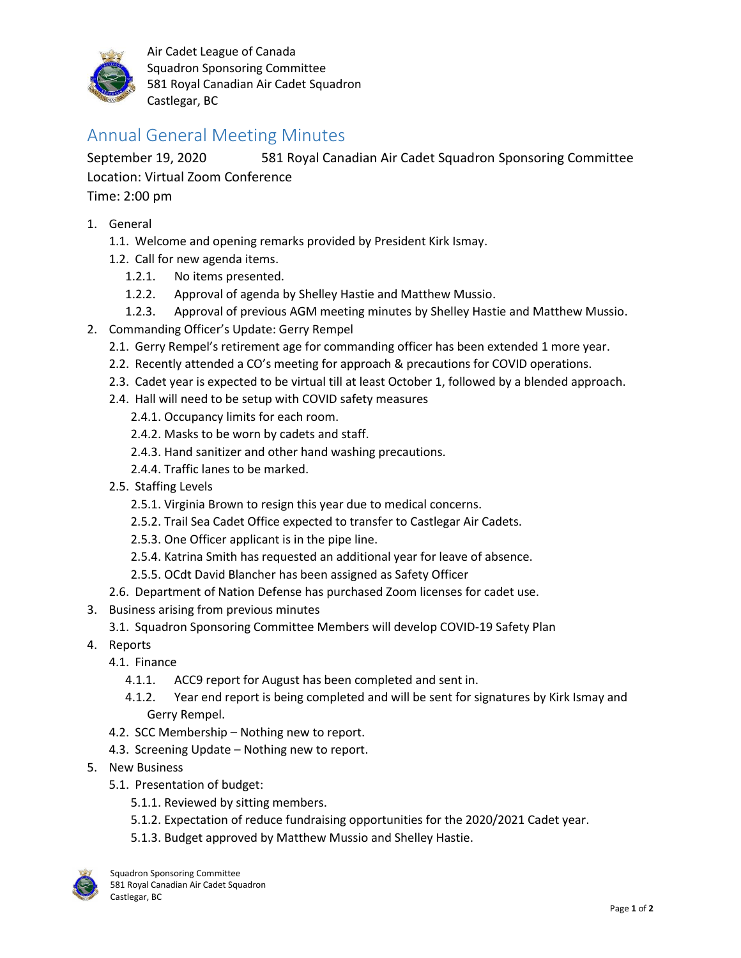

Air Cadet League of Canada Squadron Sponsoring Committee 581 Royal Canadian Air Cadet Squadron Castlegar, BC

## Annual General Meeting Minutes

September 19, 2020 581 Royal Canadian Air Cadet Squadron Sponsoring Committee Location: Virtual Zoom Conference Time: 2:00 pm

- 1. General
	- 1.1. Welcome and opening remarks provided by President Kirk Ismay.
	- 1.2. Call for new agenda items.
		- 1.2.1. No items presented.
		- 1.2.2. Approval of agenda by Shelley Hastie and Matthew Mussio.
		- 1.2.3. Approval of previous AGM meeting minutes by Shelley Hastie and Matthew Mussio.
- 2. Commanding Officer's Update: Gerry Rempel
	- 2.1. Gerry Rempel's retirement age for commanding officer has been extended 1 more year.
	- 2.2. Recently attended a CO's meeting for approach & precautions for COVID operations.
	- 2.3. Cadet year is expected to be virtual till at least October 1, followed by a blended approach.
	- 2.4. Hall will need to be setup with COVID safety measures
		- 2.4.1. Occupancy limits for each room.
		- 2.4.2. Masks to be worn by cadets and staff.
		- 2.4.3. Hand sanitizer and other hand washing precautions.
		- 2.4.4. Traffic lanes to be marked.
	- 2.5. Staffing Levels
		- 2.5.1. Virginia Brown to resign this year due to medical concerns.
		- 2.5.2. Trail Sea Cadet Office expected to transfer to Castlegar Air Cadets.
		- 2.5.3. One Officer applicant is in the pipe line.
		- 2.5.4. Katrina Smith has requested an additional year for leave of absence.
		- 2.5.5. OCdt David Blancher has been assigned as Safety Officer
	- 2.6. Department of Nation Defense has purchased Zoom licenses for cadet use.
- 3. Business arising from previous minutes
	- 3.1. Squadron Sponsoring Committee Members will develop COVID-19 Safety Plan
- 4. Reports
	- 4.1. Finance
		- 4.1.1. ACC9 report for August has been completed and sent in.
		- 4.1.2. Year end report is being completed and will be sent for signatures by Kirk Ismay and Gerry Rempel.
	- 4.2. SCC Membership Nothing new to report.
	- 4.3. Screening Update Nothing new to report.
- 5. New Business
	- 5.1. Presentation of budget:
		- 5.1.1. Reviewed by sitting members.
		- 5.1.2. Expectation of reduce fundraising opportunities for the 2020/2021 Cadet year.
		- 5.1.3. Budget approved by Matthew Mussio and Shelley Hastie.